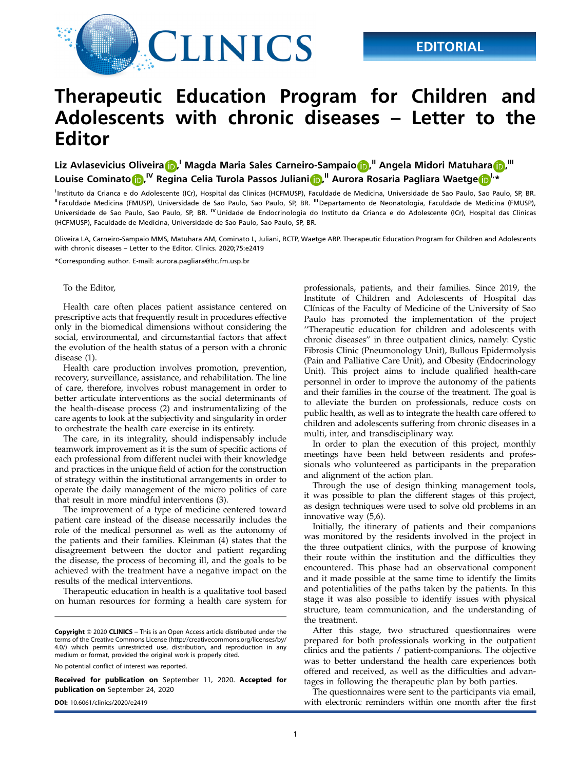

# Therapeutic Education Program for Children and Adolescents with chronic diseases – Letter to the Editor

Liz Avlasevicius Oliveira <mark>(p)</mark>. Magda Maria Sales Carneiro-Sampaio (p), "Angela Midori Matuhara (p), " Louise Cominato $\boldsymbol{\Phi}^{|\mathcal{V}|}$  Regina Celia Turola Passos Juliani $\boldsymbol{\Phi}^{|\mathcal{V}|}$  Aurora Rosaria Pagliara Waetge $\boldsymbol{\Phi}^{|\mathcal{V}|*}$ 

Instituto da Crianca e do Adolescente (ICr), Hospital das Clinicas (HCFMUSP), Faculdade de Medicina, Universidade de Sao Paulo, Sao Paulo, SP, BR. II Faculdade Medicina (FMUSP), Universidade de Sao Paulo, Sao Paulo, SP, BR. III Departamento de Neonatologia, Faculdade de Medicina (FMUSP), Universidade de Sao Paulo, Sao Paulo, SP, BR. <sup>IV</sup> Unidade de Endocrinologia do Instituto da Crianca e do Adolescente (ICr), Hospital das Clinicas (HCFMUSP), Faculdade de Medicina, Universidade de Sao Paulo, Sao Paulo, SP, BR.

Oliveira LA, Carneiro-Sampaio MMS, Matuhara AM, Cominato L, Juliani, RCTP, Waetge ARP. Therapeutic Education Program for Children and Adolescents with chronic diseases – Letter to the Editor. Clinics. 2020;75:e2419

\*Corresponding author. E-mail: [aurora.pagliara@hc.fm.usp.br](mailto:aurora.pagliara@hc.fm.usp.br)

#### To the Editor,

Health care often places patient assistance centered on prescriptive acts that frequently result in procedures effective only in the biomedical dimensions without considering the social, environmental, and circumstantial factors that affect the evolution of the health status of a person with a chronic disease (1).

Health care production involves promotion, prevention, recovery, surveillance, assistance, and rehabilitation. The line of care, therefore, involves robust management in order to better articulate interventions as the social determinants of the health-disease process (2) and instrumentalizing of the care agents to look at the subjectivity and singularity in order to orchestrate the health care exercise in its entirety.

The care, in its integrality, should indispensably include teamwork improvement as it is the sum of specific actions of each professional from different nuclei with their knowledge and practices in the unique field of action for the construction of strategy within the institutional arrangements in order to operate the daily management of the micro politics of care that result in more mindful interventions (3).

The improvement of a type of medicine centered toward patient care instead of the disease necessarily includes the role of the medical personnel as well as the autonomy of the patients and their families. Kleinman (4) states that the disagreement between the doctor and patient regarding the disease, the process of becoming ill, and the goals to be achieved with the treatment have a negative impact on the results of the medical interventions.

Therapeutic education in health is a qualitative tool based on human resources for forming a health care system for

No potential conflict of interest was reported.

Received for publication on September 11, 2020. Accepted for publication on September 24, 2020

professionals, patients, and their families. Since 2019, the Institute of Children and Adolescents of Hospital das Clínicas of the Faculty of Medicine of the University of Sao Paulo has promoted the implementation of the project ''Therapeutic education for children and adolescents with chronic diseases'' in three outpatient clinics, namely: Cystic Fibrosis Clinic (Pneumonology Unit), Bullous Epidermolysis (Pain and Palliative Care Unit), and Obesity (Endocrinology Unit). This project aims to include qualified health-care personnel in order to improve the autonomy of the patients and their families in the course of the treatment. The goal is to alleviate the burden on professionals, reduce costs on public health, as well as to integrate the health care offered to children and adolescents suffering from chronic diseases in a multi, inter, and transdisciplinary way.

In order to plan the execution of this project, monthly meetings have been held between residents and professionals who volunteered as participants in the preparation and alignment of the action plan.

Through the use of design thinking management tools, it was possible to plan the different stages of this project, as design techniques were used to solve old problems in an innovative way (5,6).

Initially, the itinerary of patients and their companions was monitored by the residents involved in the project in the three outpatient clinics, with the purpose of knowing their route within the institution and the difficulties they encountered. This phase had an observational component and it made possible at the same time to identify the limits and potentialities of the paths taken by the patients. In this stage it was also possible to identify issues with physical structure, team communication, and the understanding of the treatment.

After this stage, two structured questionnaires were prepared for both professionals working in the outpatient clinics and the patients / patient-companions. The objective was to better understand the health care experiences both offered and received, as well as the difficulties and advantages in following the therapeutic plan by both parties.

The questionnaires were sent to the participants via email, DOI: [10.6061/clinics/2020/e2419](https://doi.org/10.6061/clinics/2020/e2419) with electronic reminders within one month after the first

Copyright © 2020 CLINICS – This is an Open Access article distributed under the terms of the Creative Commons License (http://creativecommons.org/licenses/by/ 4.0/) which permits unrestricted use, distribution, and reproduction in any medium or format, provided the original work is properly cited.